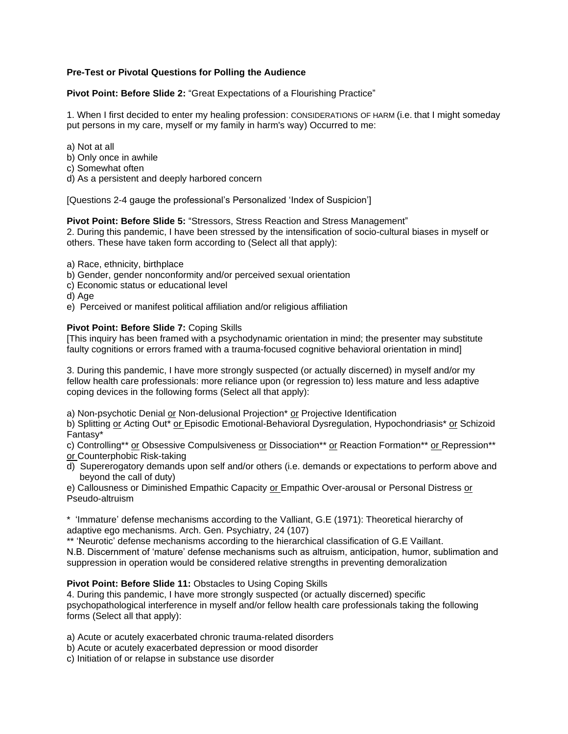# **Pre-Test or Pivotal Questions for Polling the Audience**

**Pivot Point: Before Slide 2:** "Great Expectations of a Flourishing Practice"

1. When I first decided to enter my healing profession: CONSIDERATIONS OF HARM (i.e. that I might someday put persons in my care, myself or my family in harm's way) Occurred to me:

- a) Not at all
- b) Only once in awhile
- c) Somewhat often
- d) As a persistent and deeply harbored concern

[Questions 2-4 gauge the professional's Personalized 'Index of Suspicion']

## **Pivot Point: Before Slide 5:** "Stressors, Stress Reaction and Stress Management"

2. During this pandemic, I have been stressed by the intensification of socio-cultural biases in myself or others. These have taken form according to (Select all that apply):

a) Race, ethnicity, birthplace

b) Gender, gender nonconformity and/or perceived sexual orientation

c) Economic status or educational level

d) Age

e) Perceived or manifest political affiliation and/or religious affiliation

## **Pivot Point: Before Slide 7:** Coping Skills

[This inquiry has been framed with a psychodynamic orientation in mind; the presenter may substitute faulty cognitions or errors framed with a trauma-focused cognitive behavioral orientation in mind]

3. During this pandemic, I have more strongly suspected (or actually discerned) in myself and/or my fellow health care professionals: more reliance upon (or regression to) less mature and less adaptive coping devices in the following forms (Select all that apply):

a) Non-psychotic Denial or Non-delusional Projection\* or Projective Identification

b) Splitting or *Ac*ting Out\* or Episodic Emotional-Behavioral Dysregulation, Hypochondriasis\* or Schizoid Fantasy\*

c) Controlling\*\* or Obsessive Compulsiveness or Dissociation\*\* or Reaction Formation\*\* or Repression\*\* or Counterphobic Risk-taking

d) Supererogatory demands upon self and/or others (i.e. demands or expectations to perform above and beyond the call of duty)

e) Callousness or Diminished Empathic Capacity or Empathic Over-arousal or Personal Distress or Pseudo-altruism

\* 'Immature' defense mechanisms according to the Valliant, G.E (1971): Theoretical hierarchy of adaptive ego mechanisms. Arch. Gen. Psychiatry, 24 (107)

\*\* 'Neurotic' defense mechanisms according to the hierarchical classification of G.E Vaillant. N.B. Discernment of 'mature' defense mechanisms such as altruism, anticipation, humor, sublimation and suppression in operation would be considered relative strengths in preventing demoralization

## **Pivot Point: Before Slide 11:** Obstacles to Using Coping Skills

4. During this pandemic, I have more strongly suspected (or actually discerned) specific psychopathological interference in myself and/or fellow health care professionals taking the following forms (Select all that apply):

a) Acute or acutely exacerbated chronic trauma-related disorders

- b) Acute or acutely exacerbated depression or mood disorder
- c) Initiation of or relapse in substance use disorder